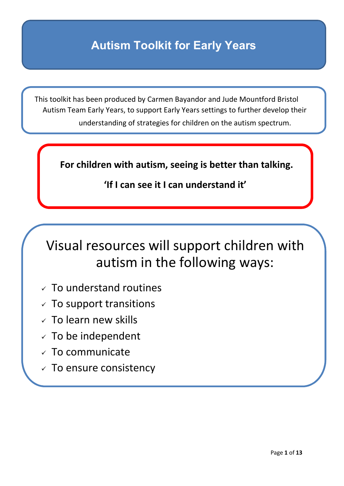#### **Autism Toolkit for Early Years**

 This toolkit has been produced by Carmen Bayandor and Jude Mountford Bristol Autism Team Early Years, to support Early Years settings to further develop their understanding of strategies for children on the autism spectrum.

**For children with autism, seeing is better than talking.**

#### **'If I can see it I can understand it'**

### Visual resources will support children with autism in the following ways:

- $\times$  To understand routines
- $\checkmark$  To support transitions
- $\times$  To learn new skills
- $\times$  To be independent
- $\times$  To communicate
- $\checkmark$  To ensure consistency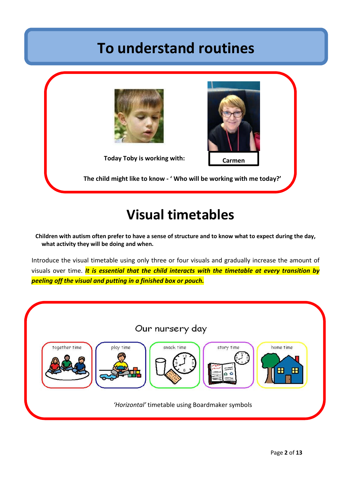### **To understand routines**



### **Visual timetables**

**Children with autism often prefer to have a sense of structure and to know what to expect during the day, what activity they will be doing and when.** 

Introduce the visual timetable using only three or four visuals and gradually increase the amount of visuals over time. *It is essential that the child interacts with the timetable at every transition by peeling off the visual and putting in a finished box or pouch.*

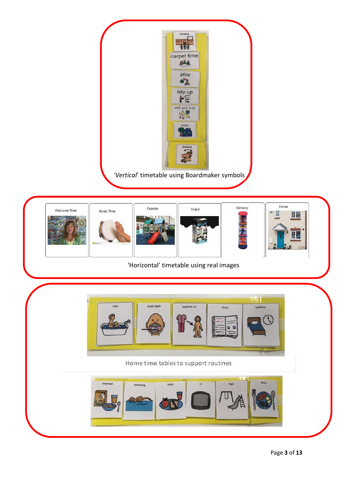

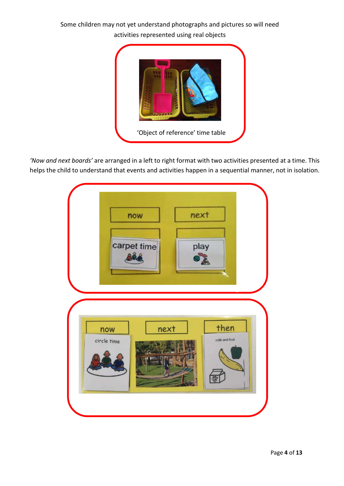#### Some children may not yet understand photographs and pictures so will need activities represented using real objects



*'Now and next boards'* are arranged in a left to right format with two activities presented at a time. This helps the child to understand that events and activities happen in a sequential manner, not in isolation.

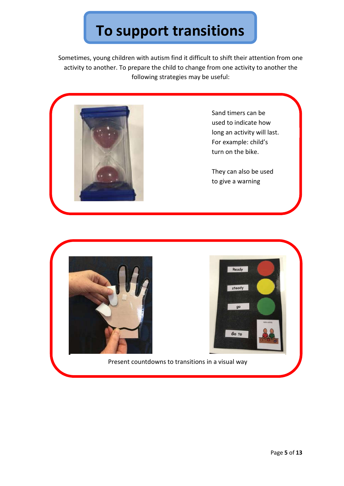# **To support transitions**

Sometimes, young children with autism find it difficult to shift their attention from one activity to another. To prepare the child to change from one activity to another the following strategies may be useful:



Sand timers can be used to indicate how long an activity will last. For example: child's turn on the bike.

They can also be used to give a warning





Present countdowns to transitions in a visual way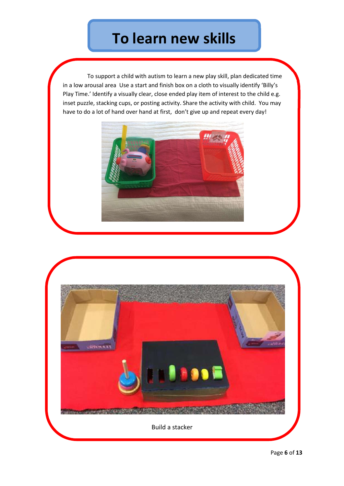## **To learn new skills**

 To support a child with autism to learn a new play skill, plan dedicated time in a low arousal area Use a start and finish box on a cloth to visually identify 'Billy's . Play Time.' Identify a visually clear, close ended play item of interest to the child e.g. inset puzzle, stacking cups, or posting activity. Share the activity with child. You may have to do a lot of hand over hand at first, don't give up and repeat every day!



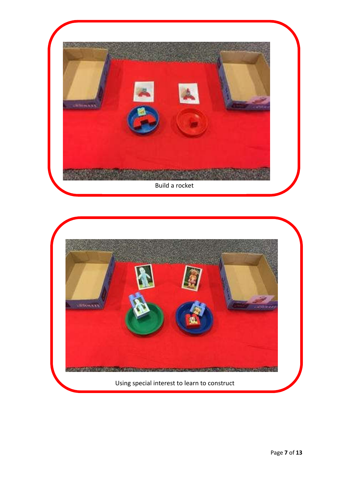

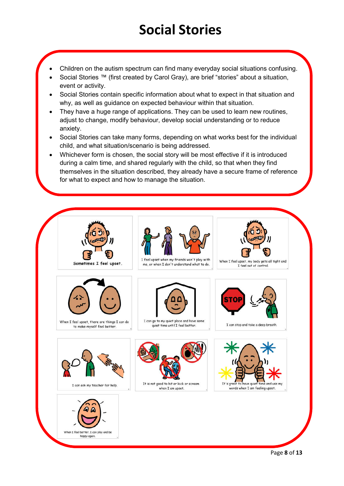# **Social Stories**

- Children on the autism spectrum can find many everyday social situations confusing.
- Social Stories ™ (first created by Carol Gray), are brief "stories" about a situation, event or activity.
- Social Stories contain specific information about what to expect in that situation and why, as well as guidance on expected behaviour within that situation.
- They have a huge range of applications. They can be used to learn new routines, adjust to change, modify behaviour, develop social understanding or to reduce anxiety.
- Social Stories can take many forms, depending on what works best for the individual child, and what situation/scenario is being addressed.
- Whichever form is chosen, the social story will be most effective if it is introduced during a calm time, and shared regularly with the child, so that when they find themselves in the situation described, they already have a secure frame of reference for what to expect and how to manage the situation.

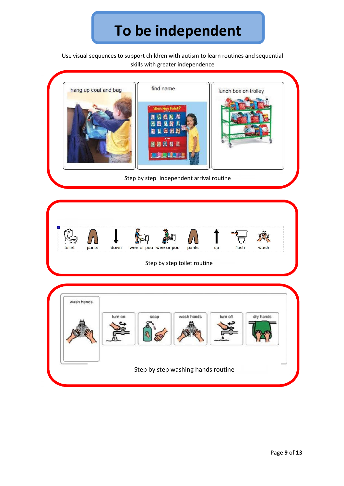# **To be independent**

Use visual sequences to support children with autism to learn routines and sequential skills with greater independence

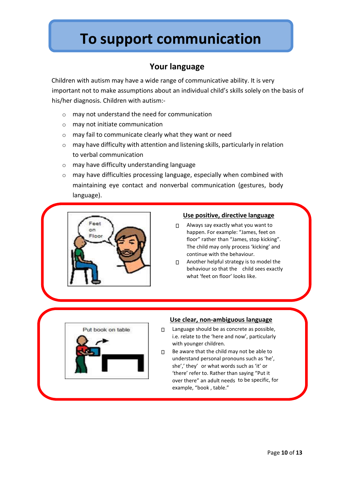## **To support communication**

#### **Your language**

Children with autism may have a wide range of communicative ability. It is very important not to make assumptions about an individual child's skills solely on the basis of his/her diagnosis. Children with autism:-

- o may not understand the need for communication
- o may not initiate communication
- o may fail to communicate clearly what they want or need
- o may have difficulty with attention and listening skills, particularly in relation to verbal communication
- o may have difficulty understanding language
- o may have difficulties processing language, especially when combined with maintaining eye contact and nonverbal communication (gestures, body language).



#### **Use positive, directive language**

- Always say exactly what you want to happen. For example: "James, feet on floor" rather than "James, stop kicking". The child may only process 'kicking' and continue with the behaviour.
- $\Pi$  Another helpful strategy is to model the behaviour so that the child sees exactly what 'feet on floor' looks like.



#### **Use clear, non-ambiguous language -**

- □ Language should be as concrete as possible, i.e. relate to the 'here and now', particularly with younger children.
- $\Box$  Be aware that the child may not be able to understand personal pronouns such as 'he', she',' they' or what words such as 'it' or 'there' refer to. Rather than saying "Put it over there" an adult needs to be specific, for example, "book , table."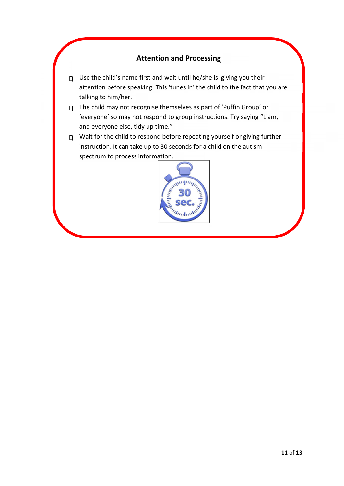#### **Attention and Processing**

- $\Box$  Use the child's name first and wait until he/she is giving you their attention before speaking. This 'tunes in' the child to the fact that you are talking to him/her.
- The child may not recognise themselves as part of 'Puffin Group' or 'everyone' so may not respond to group instructions. Try saying "Liam, and everyone else, tidy up time."
- $\Box$  Wait for the child to respond before repeating yourself or giving further instruction. It can take up to 30 seconds for a child on the autism spectrum to process information.

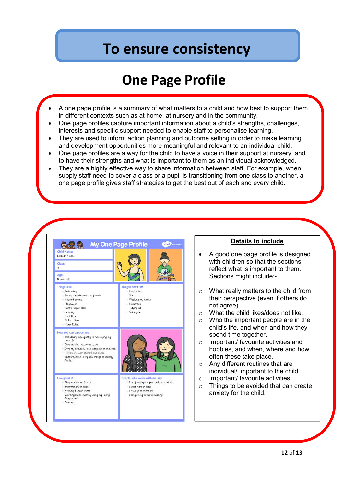### **To ensure consistency**

### **One Page Profile**

- A one page profile is a summary of what matters to a child and how best to support them in different contexts such as at home, at nursery and in the community.
- One page profiles capture important information about a child's strengths, challenges, interests and specific support needed to enable staff to personalise learning.
- They are used to inform action planning and outcome setting in order to make learning and development opportunities more meaningful and relevant to an individual child.
- One page profiles are a way for the child to have a voice in their support at nursery, and to have their strengths and what is important to them as an individual acknowledged.
- They are a highly effective way to share information between staff. For example, when supply staff need to cover a class or a pupil is transitioning from one class to another, a one page profile gives staff strategies to get the best out of each and every child.



#### **Details to include**

- A good one page profile is designed with children so that the sections reflect what is important to them. Sections might include:-
- o What really matters to the child from their perspective (even if others do not agree).
- o What the child likes/does not like.
- o Who the important people are in the child's life, and when and how they spend time together.
- o Important/ favourite activities and hobbies, and when, where and how often these take place.
- o Any different routines that are individual/ important to the child.
- o Important/ favourite activities.
- o Things to be avoided that can create anxiety for the child.